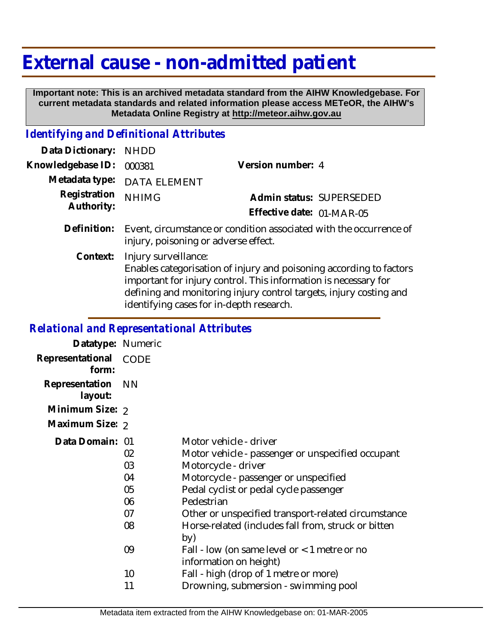## **External cause - non-admitted patient**

 **Important note: This is an archived metadata standard from the AIHW Knowledgebase. For current metadata standards and related information please access METeOR, the AIHW's Metadata Online Registry at http://meteor.aihw.gov.au**

## *Identifying and Definitional Attributes*

| Data Dictionary:  | <b>NHDD</b>                                                                                                                                                                                                                                                                      |                           |                          |
|-------------------|----------------------------------------------------------------------------------------------------------------------------------------------------------------------------------------------------------------------------------------------------------------------------------|---------------------------|--------------------------|
| Knowledgebase ID: | 000381                                                                                                                                                                                                                                                                           | Version number: 4         |                          |
| Metadata type:    | <b>DATA ELEMENT</b>                                                                                                                                                                                                                                                              |                           |                          |
| Registration      | <b>NHIMG</b>                                                                                                                                                                                                                                                                     |                           | Admin status: SUPERSEDED |
| Authority:        |                                                                                                                                                                                                                                                                                  | Effective date: 01-MAR-05 |                          |
| Definition:       | Event, circumstance or condition associated with the occurrence of<br>injury, poisoning or adverse effect.                                                                                                                                                                       |                           |                          |
| Context:          | Injury surveillance:<br>Enables categorisation of injury and poisoning according to factors<br>important for injury control. This information is necessary for<br>defining and monitoring injury control targets, injury costing and<br>identifying cases for in-depth research. |                           |                          |
|                   |                                                                                                                                                                                                                                                                                  |                           |                          |

## *Relational and Representational Attributes*

| Datatype: Numeric         |                                        |                                                                                                                                                                                                                                                                                                                   |
|---------------------------|----------------------------------------|-------------------------------------------------------------------------------------------------------------------------------------------------------------------------------------------------------------------------------------------------------------------------------------------------------------------|
| Representational<br>form: | <b>CODE</b>                            |                                                                                                                                                                                                                                                                                                                   |
| Representation<br>layout: | <b>NN</b>                              |                                                                                                                                                                                                                                                                                                                   |
| Minimum Size: 2           |                                        |                                                                                                                                                                                                                                                                                                                   |
| Maximum Size: 2           |                                        |                                                                                                                                                                                                                                                                                                                   |
| Data Domain: 01           | 02<br>03<br>04<br>05<br>06<br>07<br>08 | Motor vehicle - driver<br>Motor vehicle - passenger or unspecified occupant<br>Motorcycle - driver<br>Motorcycle - passenger or unspecified<br>Pedal cyclist or pedal cycle passenger<br>Pedestrian<br>Other or unspecified transport-related circumstance<br>Horse-related (includes fall from, struck or bitten |
|                           | 09                                     | by)<br>Fall - low (on same level or $<$ 1 metre or no<br>information on height)                                                                                                                                                                                                                                   |
|                           | 10                                     | Fall - high (drop of 1 metre or more)                                                                                                                                                                                                                                                                             |
|                           | 11                                     | Drowning, submersion - swimming pool                                                                                                                                                                                                                                                                              |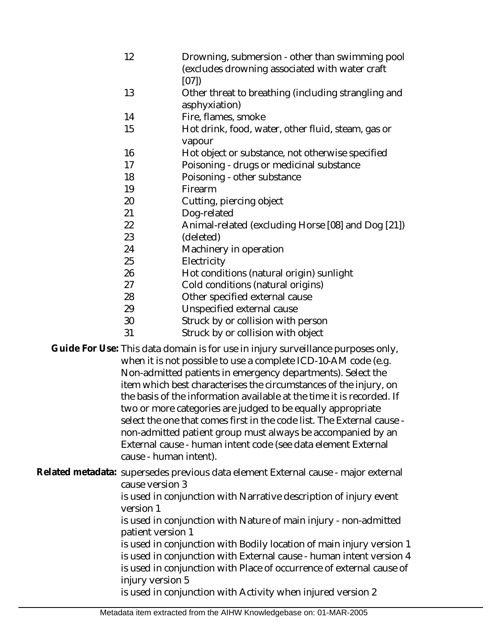- 12 Drowning, submersion - other than swimming pool (excludes drowning associated with water craft [07])
- 13 Other threat to breathing (including strangling and asphyxiation)
- 14 Fire, flames, smoke
- 15 Hot drink, food, water, other fluid, steam, gas or vapour
- 16 Hot object or substance, not otherwise specified
- 17 Poisoning - drugs or medicinal substance
- 18 Poisoning - other substance
- 19 Firearm
- 20 Cutting, piercing object
- 21 Dog-related
- 22 Animal-related (excluding Horse [08] and Dog [21])
- 23 (deleted)
- 24 Machinery in operation
- 25 **Electricity**
- 26 Hot conditions (natural origin) sunlight
- 27 Cold conditions (natural origins)
- 28 Other specified external cause
- 29 Unspecified external cause
- 30 Struck by or collision with person
- 31 Struck by or collision with object

Guide For Use: This data domain is for use in injury surveillance purposes only, when it is not possible to use a complete ICD-10-AM code (e.g. Non-admitted patients in emergency departments). Select the item which best characterises the circumstances of the injury, on the basis of the information available at the time it is recorded. If two or more categories are judged to be equally appropriate select the one that comes first in the code list. The External cause non-admitted patient group must always be accompanied by an External cause - human intent code (see data element External cause - human intent).

Related metadata: supersedes previous data element External cause - major external cause version 3

is used in conjunction with Narrative description of injury event version 1

is used in conjunction with Nature of main injury - non-admitted patient version 1

is used in conjunction with Bodily location of main injury version 1 is used in conjunction with External cause - human intent version 4 is used in conjunction with Place of occurrence of external cause of injury version 5

is used in conjunction with Activity when injured version 2